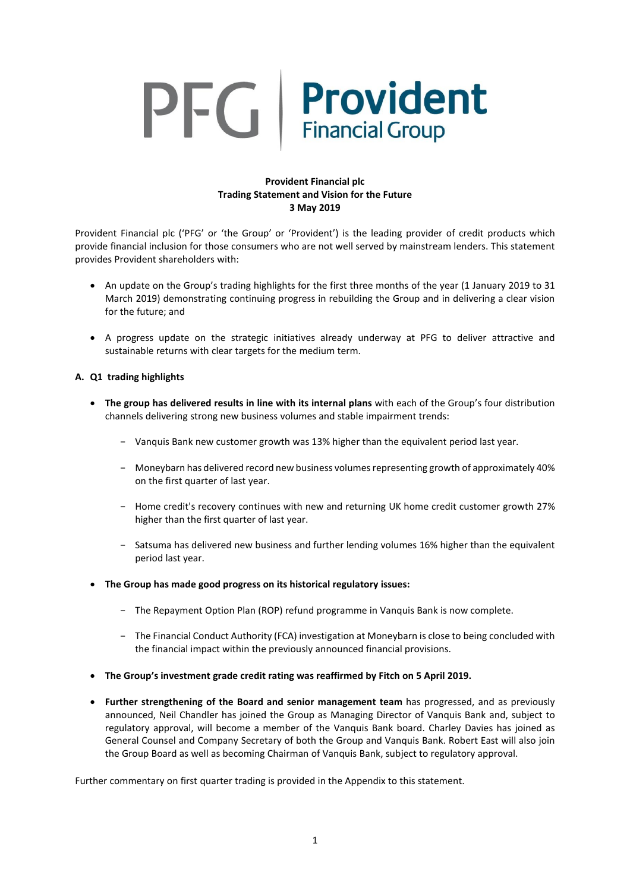# PFG Provident

# **Provident Financial plc Trading Statement and Vision for the Future 3 May 2019**

Provident Financial plc ('PFG' or 'the Group' or 'Provident') is the leading provider of credit products which provide financial inclusion for those consumers who are not well served by mainstream lenders. This statement provides Provident shareholders with:

- An update on the Group's trading highlights for the first three months of the year (1 January 2019 to 31 March 2019) demonstrating continuing progress in rebuilding the Group and in delivering a clear vision for the future; and
- A progress update on the strategic initiatives already underway at PFG to deliver attractive and sustainable returns with clear targets for the medium term.

# **A. Q1 trading highlights**

- **The group has delivered results in line with its internal plans** with each of the Group's four distribution channels delivering strong new business volumes and stable impairment trends:
	- − Vanquis Bank new customer growth was 13% higher than the equivalent period last year.
	- − Moneybarn has delivered record new business volumesrepresenting growth of approximately 40% on the first quarter of last year.
	- − Home credit's recovery continues with new and returning UK home credit customer growth 27% higher than the first quarter of last year.
	- − Satsuma has delivered new business and further lending volumes 16% higher than the equivalent period last year.
- **The Group has made good progress on its historical regulatory issues:**
	- − The Repayment Option Plan (ROP) refund programme in Vanquis Bank is now complete.
	- − The Financial Conduct Authority (FCA) investigation at Moneybarn is close to being concluded with the financial impact within the previously announced financial provisions.
- **The Group's investment grade credit rating was reaffirmed by Fitch on 5 April 2019.**
- **Further strengthening of the Board and senior management team** has progressed, and as previously announced, Neil Chandler has joined the Group as Managing Director of Vanquis Bank and, subject to regulatory approval, will become a member of the Vanquis Bank board. Charley Davies has joined as General Counsel and Company Secretary of both the Group and Vanquis Bank. Robert East will also join the Group Board as well as becoming Chairman of Vanquis Bank, subject to regulatory approval.

Further commentary on first quarter trading is provided in the Appendix to this statement.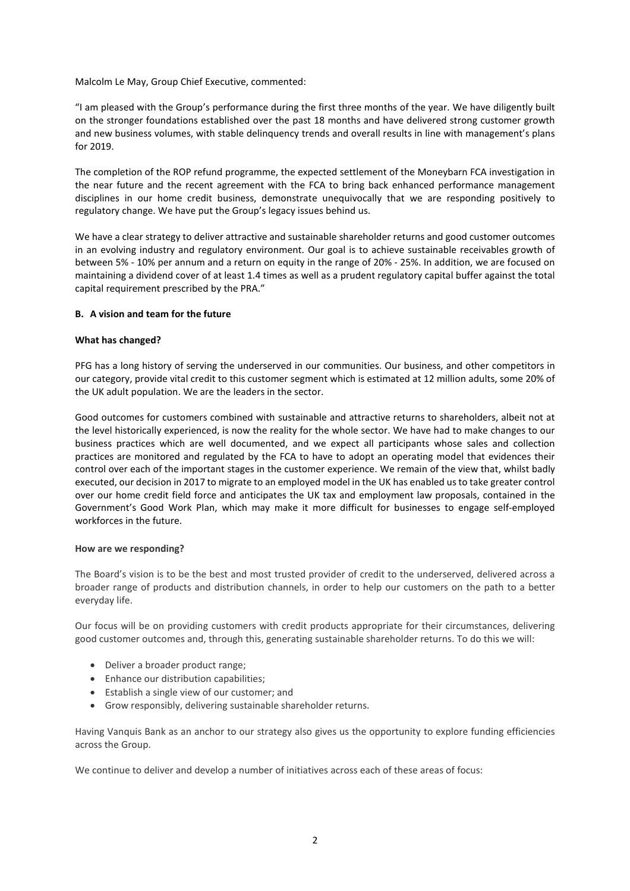Malcolm Le May, Group Chief Executive, commented:

"I am pleased with the Group's performance during the first three months of the year. We have diligently built on the stronger foundations established over the past 18 months and have delivered strong customer growth and new business volumes, with stable delinquency trends and overall results in line with management's plans for 2019.

The completion of the ROP refund programme, the expected settlement of the Moneybarn FCA investigation in the near future and the recent agreement with the FCA to bring back enhanced performance management disciplines in our home credit business, demonstrate unequivocally that we are responding positively to regulatory change. We have put the Group's legacy issues behind us.

We have a clear strategy to deliver attractive and sustainable shareholder returns and good customer outcomes in an evolving industry and regulatory environment. Our goal is to achieve sustainable receivables growth of between 5% - 10% per annum and a return on equity in the range of 20% - 25%. In addition, we are focused on maintaining a dividend cover of at least 1.4 times as well as a prudent regulatory capital buffer against the total capital requirement prescribed by the PRA."

## **B. A vision and team for the future**

## **What has changed?**

PFG has a long history of serving the underserved in our communities. Our business, and other competitors in our category, provide vital credit to this customer segment which is estimated at 12 million adults, some 20% of the UK adult population. We are the leaders in the sector.

Good outcomes for customers combined with sustainable and attractive returns to shareholders, albeit not at the level historically experienced, is now the reality for the whole sector. We have had to make changes to our business practices which are well documented, and we expect all participants whose sales and collection practices are monitored and regulated by the FCA to have to adopt an operating model that evidences their control over each of the important stages in the customer experience. We remain of the view that, whilst badly executed, our decision in 2017 to migrate to an employed model in the UK has enabled usto take greater control over our home credit field force and anticipates the UK tax and employment law proposals, contained in the Government's Good Work Plan, which may make it more difficult for businesses to engage self-employed workforces in the future.

### **How are we responding?**

The Board's vision is to be the best and most trusted provider of credit to the underserved, delivered across a broader range of products and distribution channels, in order to help our customers on the path to a better everyday life.

Our focus will be on providing customers with credit products appropriate for their circumstances, delivering good customer outcomes and, through this, generating sustainable shareholder returns. To do this we will:

- Deliver a broader product range;
- Enhance our distribution capabilities;
- Establish a single view of our customer; and
- Grow responsibly, delivering sustainable shareholder returns.

Having Vanquis Bank as an anchor to our strategy also gives us the opportunity to explore funding efficiencies across the Group.

We continue to deliver and develop a number of initiatives across each of these areas of focus: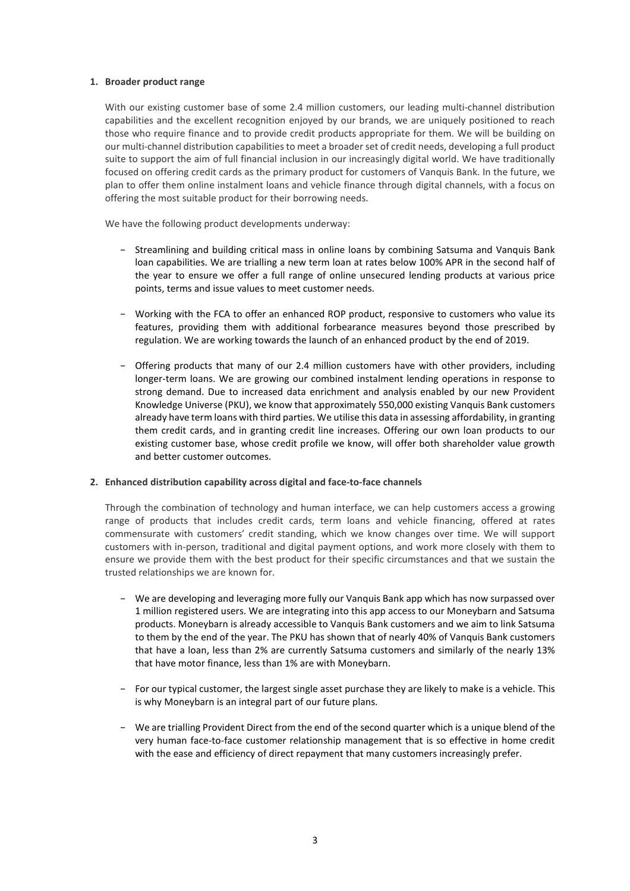## **1. Broader product range**

With our existing customer base of some 2.4 million customers, our leading multi-channel distribution capabilities and the excellent recognition enjoyed by our brands, we are uniquely positioned to reach those who require finance and to provide credit products appropriate for them. We will be building on our multi-channel distribution capabilitiesto meet a broader set of credit needs, developing a full product suite to support the aim of full financial inclusion in our increasingly digital world. We have traditionally focused on offering credit cards as the primary product for customers of Vanquis Bank. In the future, we plan to offer them online instalment loans and vehicle finance through digital channels, with a focus on offering the most suitable product for their borrowing needs.

We have the following product developments underway:

- − Streamlining and building critical mass in online loans by combining Satsuma and Vanquis Bank loan capabilities. We are trialling a new term loan at rates below 100% APR in the second half of the year to ensure we offer a full range of online unsecured lending products at various price points, terms and issue values to meet customer needs.
- − Working with the FCA to offer an enhanced ROP product, responsive to customers who value its features, providing them with additional forbearance measures beyond those prescribed by regulation. We are working towards the launch of an enhanced product by the end of 2019.
- − Offering products that many of our 2.4 million customers have with other providers, including longer-term loans. We are growing our combined instalment lending operations in response to strong demand. Due to increased data enrichment and analysis enabled by our new Provident Knowledge Universe (PKU), we know that approximately 550,000 existing Vanquis Bank customers already have term loans with third parties. We utilise this data in assessing affordability, in granting them credit cards, and in granting credit line increases. Offering our own loan products to our existing customer base, whose credit profile we know, will offer both shareholder value growth and better customer outcomes.

# **2. Enhanced distribution capability across digital and face-to-face channels**

Through the combination of technology and human interface, we can help customers access a growing range of products that includes credit cards, term loans and vehicle financing, offered at rates commensurate with customers' credit standing, which we know changes over time. We will support customers with in-person, traditional and digital payment options, and work more closely with them to ensure we provide them with the best product for their specific circumstances and that we sustain the trusted relationships we are known for.

- − We are developing and leveraging more fully our Vanquis Bank app which has now surpassed over 1 million registered users. We are integrating into this app access to our Moneybarn and Satsuma products. Moneybarn is already accessible to Vanquis Bank customers and we aim to link Satsuma to them by the end of the year. The PKU has shown that of nearly 40% of Vanquis Bank customers that have a loan, less than 2% are currently Satsuma customers and similarly of the nearly 13% that have motor finance, less than 1% are with Moneybarn.
- − For our typical customer, the largest single asset purchase they are likely to make is a vehicle. This is why Moneybarn is an integral part of our future plans.
- − We are trialling Provident Direct from the end of the second quarter which is a unique blend of the very human face-to-face customer relationship management that is so effective in home credit with the ease and efficiency of direct repayment that many customers increasingly prefer.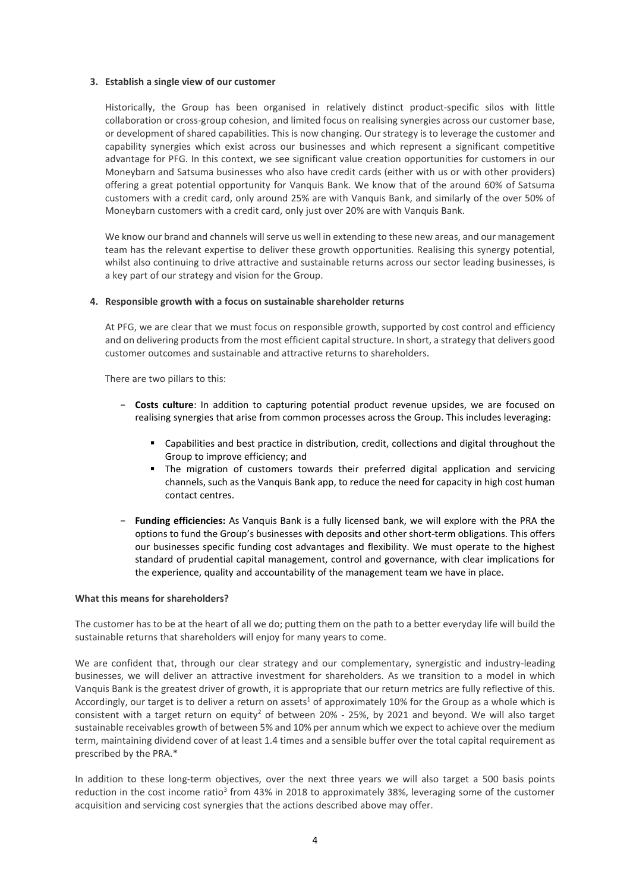### **3. Establish a single view of our customer**

Historically, the Group has been organised in relatively distinct product-specific silos with little collaboration or cross-group cohesion, and limited focus on realising synergies across our customer base, or development of shared capabilities. This is now changing. Our strategy is to leverage the customer and capability synergies which exist across our businesses and which represent a significant competitive advantage for PFG. In this context, we see significant value creation opportunities for customers in our Moneybarn and Satsuma businesses who also have credit cards (either with us or with other providers) offering a great potential opportunity for Vanquis Bank. We know that of the around 60% of Satsuma customers with a credit card, only around 25% are with Vanquis Bank, and similarly of the over 50% of Moneybarn customers with a credit card, only just over 20% are with Vanquis Bank.

We know our brand and channels will serve us well in extending to these new areas, and our management team has the relevant expertise to deliver these growth opportunities. Realising this synergy potential, whilst also continuing to drive attractive and sustainable returns across our sector leading businesses, is a key part of our strategy and vision for the Group.

# **4. Responsible growth with a focus on sustainable shareholder returns**

At PFG, we are clear that we must focus on responsible growth, supported by cost control and efficiency and on delivering products from the most efficient capital structure. In short, a strategy that delivers good customer outcomes and sustainable and attractive returns to shareholders.

There are two pillars to this:

- − **Costs culture**: In addition to capturing potential product revenue upsides, we are focused on realising synergies that arise from common processes across the Group. This includes leveraging:
	- Capabilities and best practice in distribution, credit, collections and digital throughout the Group to improve efficiency; and
	- The migration of customers towards their preferred digital application and servicing channels, such as the Vanquis Bank app, to reduce the need for capacity in high cost human contact centres.
- − **Funding efficiencies:** As Vanquis Bank is a fully licensed bank, we will explore with the PRA the options to fund the Group's businesses with deposits and other short-term obligations. This offers our businesses specific funding cost advantages and flexibility. We must operate to the highest standard of prudential capital management, control and governance, with clear implications for the experience, quality and accountability of the management team we have in place.

### **What this means for shareholders?**

The customer has to be at the heart of all we do; putting them on the path to a better everyday life will build the sustainable returns that shareholders will enjoy for many years to come.

We are confident that, through our clear strategy and our complementary, synergistic and industry-leading businesses, we will deliver an attractive investment for shareholders. As we transition to a model in which Vanquis Bank is the greatest driver of growth, it is appropriate that our return metrics are fully reflective of this. Accordingly, our target is to deliver a return on assets<sup>1</sup> of approximately 10% for the Group as a whole which is consistent with a target return on equity<sup>2</sup> of between 20% - 25%, by 2021 and beyond. We will also target sustainable receivables growth of between 5% and 10% per annum which we expect to achieve over the medium term, maintaining dividend cover of at least 1.4 times and a sensible buffer over the total capital requirement as prescribed by the PRA.\*

In addition to these long-term objectives, over the next three years we will also target a 500 basis points reduction in the cost income ratio<sup>3</sup> from 43% in 2018 to approximately 38%, leveraging some of the customer acquisition and servicing cost synergies that the actions described above may offer.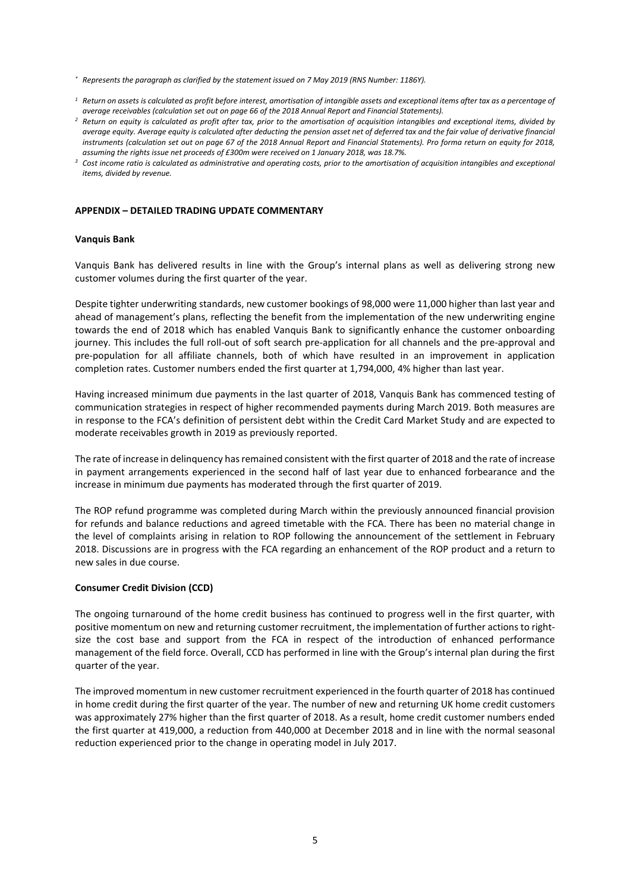- *\* Represents the paragraph as clarified by the statement issued on 7 May 2019 (RNS Number: 1186Y).*
- $1$  Return on assets is calculated as profit before interest, amortisation of intangible assets and exceptional items after tax as a percentage of *average receivables (calculation set out on page 66 of the 2018 Annual Report and Financial Statements).*
- <sup>2</sup> Return on equity is calculated as profit after tax, prior to the amortisation of acquisition intangibles and exceptional items, divided by average equity. Average equity is calculated after deducting the pension asset net of deferred tax and the fair value of derivative financial instruments (calculation set out on page 67 of the 2018 Annual Report and Financial Statements). Pro forma return on equity for 2018, *assuming the rights issue net proceeds of £300m were received on 1 January 2018, was 18.7%.*
- <sup>3</sup> Cost income ratio is calculated as administrative and operating costs, prior to the amortisation of acquisition intangibles and exceptional *items, divided by revenue.*

### **APPENDIX – DETAILED TRADING UPDATE COMMENTARY**

### **Vanquis Bank**

Vanquis Bank has delivered results in line with the Group's internal plans as well as delivering strong new customer volumes during the first quarter of the year.

Despite tighter underwriting standards, new customer bookings of 98,000 were 11,000 higher than last year and ahead of management's plans, reflecting the benefit from the implementation of the new underwriting engine towards the end of 2018 which has enabled Vanquis Bank to significantly enhance the customer onboarding journey. This includes the full roll-out of soft search pre-application for all channels and the pre-approval and pre-population for all affiliate channels, both of which have resulted in an improvement in application completion rates. Customer numbers ended the first quarter at 1,794,000, 4% higher than last year.

Having increased minimum due payments in the last quarter of 2018, Vanquis Bank has commenced testing of communication strategies in respect of higher recommended payments during March 2019. Both measures are in response to the FCA's definition of persistent debt within the Credit Card Market Study and are expected to moderate receivables growth in 2019 as previously reported.

The rate of increase in delinquency has remained consistent with the first quarter of 2018 and the rate of increase in payment arrangements experienced in the second half of last year due to enhanced forbearance and the increase in minimum due payments has moderated through the first quarter of 2019.

The ROP refund programme was completed during March within the previously announced financial provision for refunds and balance reductions and agreed timetable with the FCA. There has been no material change in the level of complaints arising in relation to ROP following the announcement of the settlement in February 2018. Discussions are in progress with the FCA regarding an enhancement of the ROP product and a return to new sales in due course.

### **Consumer Credit Division (CCD)**

The ongoing turnaround of the home credit business has continued to progress well in the first quarter, with positive momentum on new and returning customer recruitment, the implementation of further actions to rightsize the cost base and support from the FCA in respect of the introduction of enhanced performance management of the field force. Overall, CCD has performed in line with the Group's internal plan during the first quarter of the year.

The improved momentum in new customer recruitment experienced in the fourth quarter of 2018 has continued in home credit during the first quarter of the year. The number of new and returning UK home credit customers was approximately 27% higher than the first quarter of 2018. As a result, home credit customer numbers ended the first quarter at 419,000, a reduction from 440,000 at December 2018 and in line with the normal seasonal reduction experienced prior to the change in operating model in July 2017.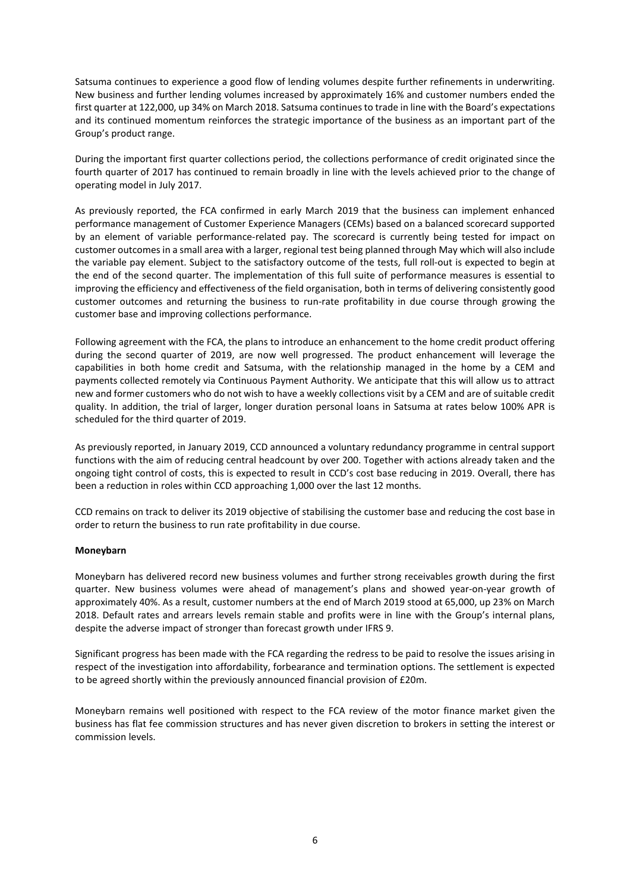Satsuma continues to experience a good flow of lending volumes despite further refinements in underwriting. New business and further lending volumes increased by approximately 16% and customer numbers ended the first quarter at 122,000, up 34% on March 2018. Satsuma continues to trade in line with the Board's expectations and its continued momentum reinforces the strategic importance of the business as an important part of the Group's product range.

During the important first quarter collections period, the collections performance of credit originated since the fourth quarter of 2017 has continued to remain broadly in line with the levels achieved prior to the change of operating model in July 2017.

As previously reported, the FCA confirmed in early March 2019 that the business can implement enhanced performance management of Customer Experience Managers (CEMs) based on a balanced scorecard supported by an element of variable performance-related pay. The scorecard is currently being tested for impact on customer outcomes in a small area with a larger, regional test being planned through May which will also include the variable pay element. Subject to the satisfactory outcome of the tests, full roll-out is expected to begin at the end of the second quarter. The implementation of this full suite of performance measures is essential to improving the efficiency and effectiveness of the field organisation, both in terms of delivering consistently good customer outcomes and returning the business to run-rate profitability in due course through growing the customer base and improving collections performance.

Following agreement with the FCA, the plans to introduce an enhancement to the home credit product offering during the second quarter of 2019, are now well progressed. The product enhancement will leverage the capabilities in both home credit and Satsuma, with the relationship managed in the home by a CEM and payments collected remotely via Continuous Payment Authority. We anticipate that this will allow us to attract new and former customers who do not wish to have a weekly collections visit by a CEM and are of suitable credit quality. In addition, the trial of larger, longer duration personal loans in Satsuma at rates below 100% APR is scheduled for the third quarter of 2019.

As previously reported, in January 2019, CCD announced a voluntary redundancy programme in central support functions with the aim of reducing central headcount by over 200. Together with actions already taken and the ongoing tight control of costs, this is expected to result in CCD's cost base reducing in 2019. Overall, there has been a reduction in roles within CCD approaching 1,000 over the last 12 months.

CCD remains on track to deliver its 2019 objective of stabilising the customer base and reducing the cost base in order to return the business to run rate profitability in due course.

# **Moneybarn**

Moneybarn has delivered record new business volumes and further strong receivables growth during the first quarter. New business volumes were ahead of management's plans and showed year-on-year growth of approximately 40%. As a result, customer numbers at the end of March 2019 stood at 65,000, up 23% on March 2018. Default rates and arrears levels remain stable and profits were in line with the Group's internal plans, despite the adverse impact of stronger than forecast growth under IFRS 9.

Significant progress has been made with the FCA regarding the redress to be paid to resolve the issues arising in respect of the investigation into affordability, forbearance and termination options. The settlement is expected to be agreed shortly within the previously announced financial provision of £20m.

Moneybarn remains well positioned with respect to the FCA review of the motor finance market given the business has flat fee commission structures and has never given discretion to brokers in setting the interest or commission levels.